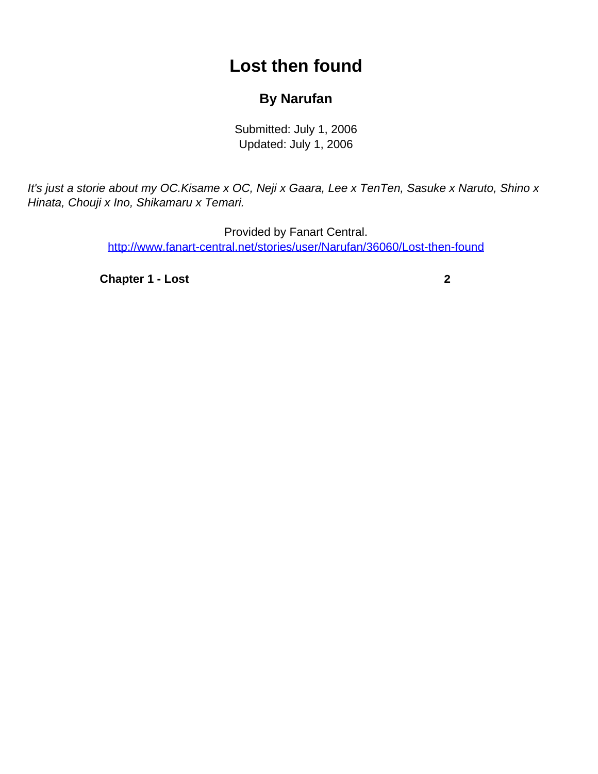## **Lost then found**

## **By Narufan**

Submitted: July 1, 2006 Updated: July 1, 2006

<span id="page-0-0"></span>It's just a storie about my OC.Kisame x OC, Neji x Gaara, Lee x TenTen, Sasuke x Naruto, Shino x Hinata, Chouji x Ino, Shikamaru x Temari.

> Provided by Fanart Central. [http://www.fanart-central.net/stories/user/Narufan/36060/Lost-then-found](#page-0-0)

**[Chapter 1 - Lost](#page-1-0) [2](#page-1-0)**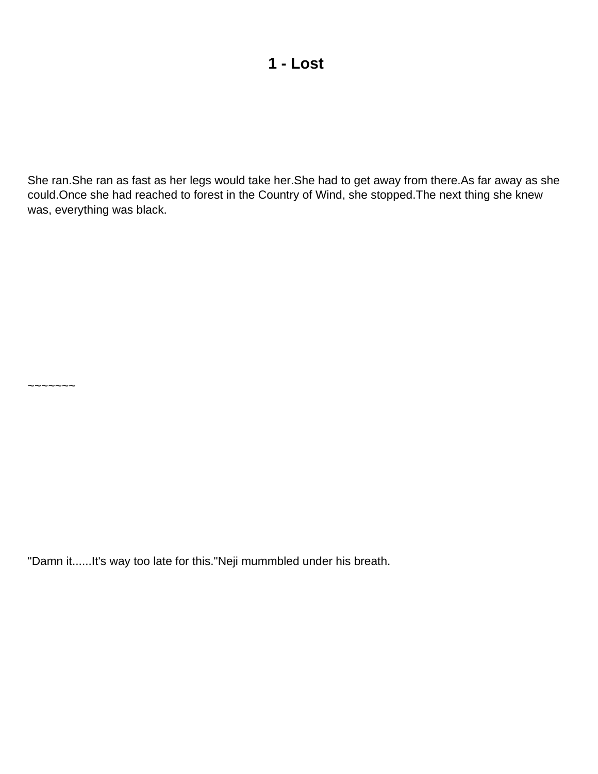<span id="page-1-0"></span>She ran.She ran as fast as her legs would take her.She had to get away from there.As far away as she could.Once she had reached to forest in the Country of Wind, she stopped.The next thing she knew was, everything was black.

"Damn it......It's way too late for this."Neji mummbled under his breath.

~~~~~~~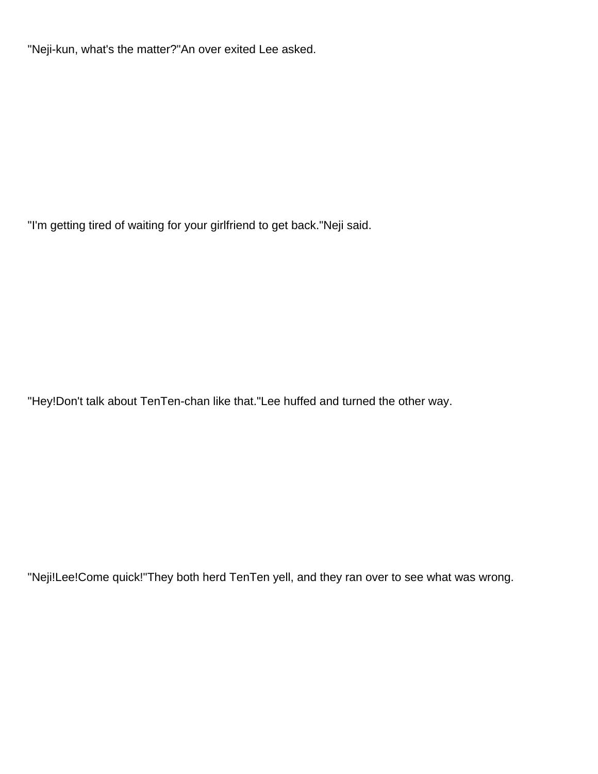"Neji-kun, what's the matter?"An over exited Lee asked.

"I'm getting tired of waiting for your girlfriend to get back."Neji said.

"Hey!Don't talk about TenTen-chan like that."Lee huffed and turned the other way.

"Neji!Lee!Come quick!"They both herd TenTen yell, and they ran over to see what was wrong.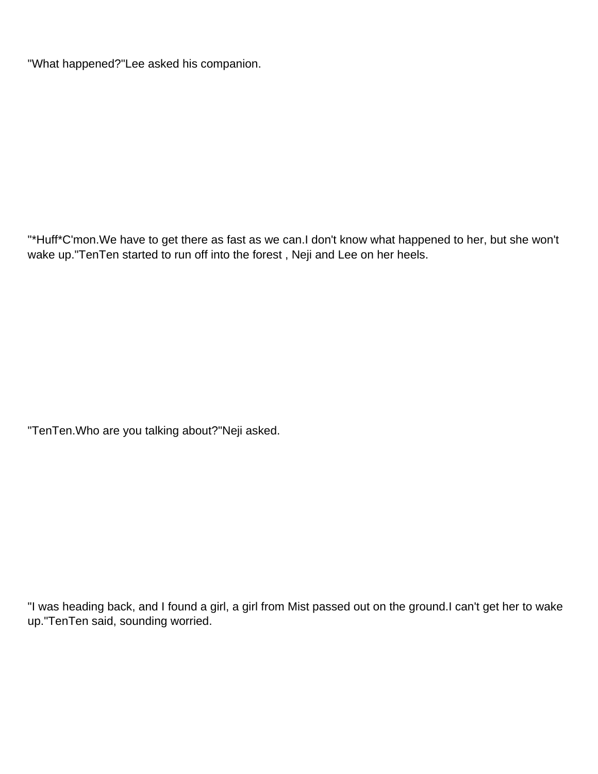"What happened?"Lee asked his companion.

"\*Huff\*C'mon.We have to get there as fast as we can.I don't know what happened to her, but she won't wake up."TenTen started to run off into the forest , Neji and Lee on her heels.

"TenTen.Who are you talking about?"Neji asked.

"I was heading back, and I found a girl, a girl from Mist passed out on the ground.I can't get her to wake up."TenTen said, sounding worried.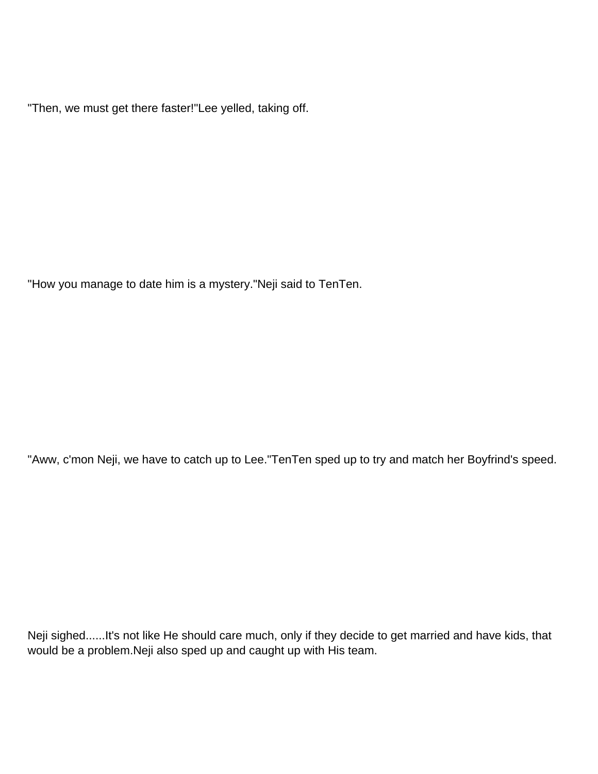"Then, we must get there faster!"Lee yelled, taking off.

"How you manage to date him is a mystery."Neji said to TenTen.

"Aww, c'mon Neji, we have to catch up to Lee."TenTen sped up to try and match her Boyfrind's speed.

Neji sighed......It's not like He should care much, only if they decide to get married and have kids, that would be a problem.Neji also sped up and caught up with His team.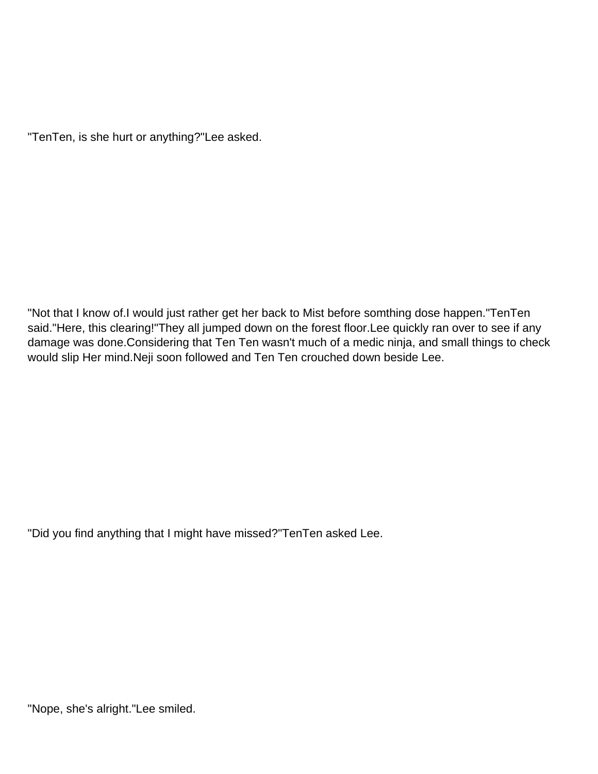"TenTen, is she hurt or anything?"Lee asked.

"Not that I know of.I would just rather get her back to Mist before somthing dose happen."TenTen said."Here, this clearing!"They all jumped down on the forest floor.Lee quickly ran over to see if any damage was done.Considering that Ten Ten wasn't much of a medic ninja, and small things to check would slip Her mind.Neji soon followed and Ten Ten crouched down beside Lee.

"Did you find anything that I might have missed?"TenTen asked Lee.

"Nope, she's alright."Lee smiled.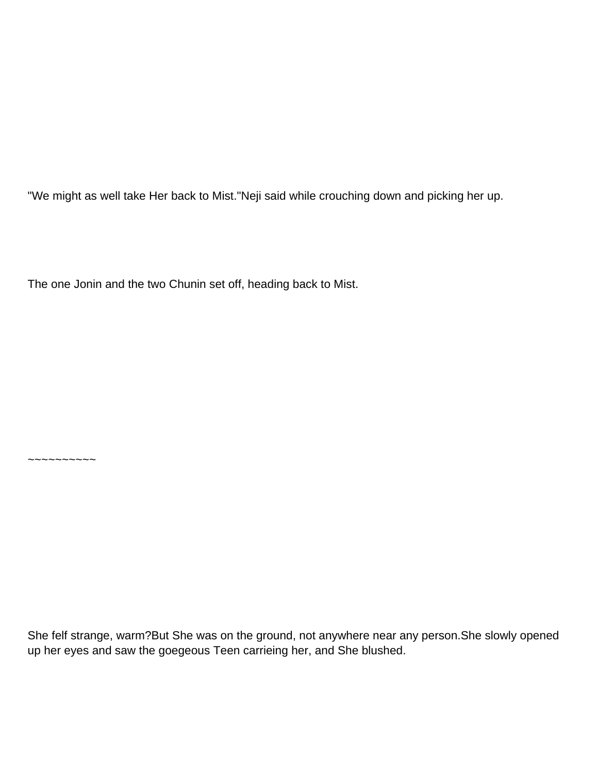"We might as well take Her back to Mist."Neji said while crouching down and picking her up.

The one Jonin and the two Chunin set off, heading back to Mist.

 $~\sim$   $~\sim$   $~\sim$   $~\sim$   $~\sim$   $~\sim$   $~\sim$ 

She felf strange, warm?But She was on the ground, not anywhere near any person.She slowly opened up her eyes and saw the goegeous Teen carrieing her, and She blushed.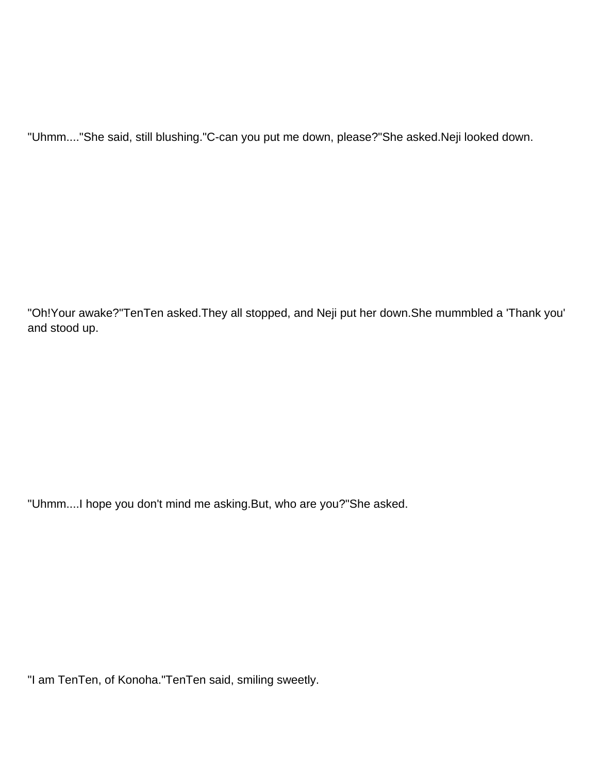"Uhmm...."She said, still blushing."C-can you put me down, please?"She asked.Neji looked down.

"Oh!Your awake?"TenTen asked.They all stopped, and Neji put her down.She mummbled a 'Thank you' and stood up.

"Uhmm....I hope you don't mind me asking.But, who are you?"She asked.

"I am TenTen, of Konoha."TenTen said, smiling sweetly.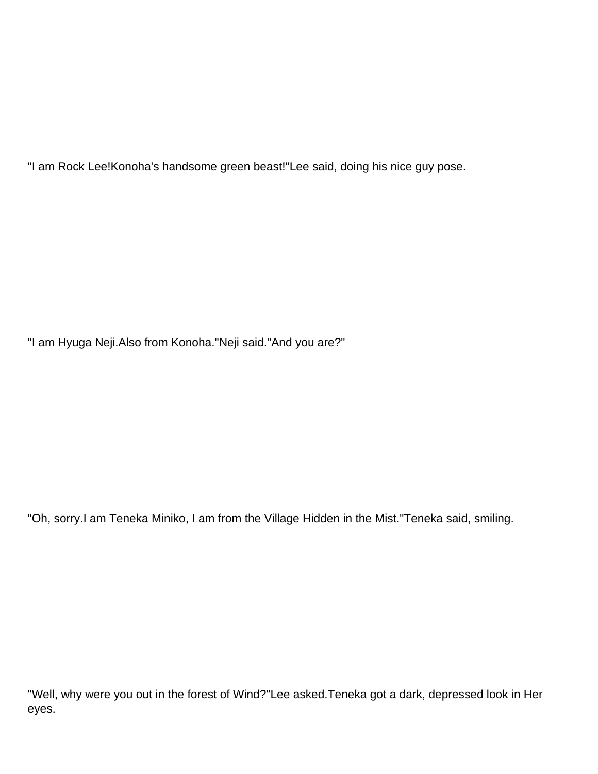"I am Rock Lee!Konoha's handsome green beast!"Lee said, doing his nice guy pose.

"I am Hyuga Neji.Also from Konoha."Neji said."And you are?"

"Oh, sorry.I am Teneka Miniko, I am from the Village Hidden in the Mist."Teneka said, smiling.

"Well, why were you out in the forest of Wind?"Lee asked.Teneka got a dark, depressed look in Her eyes.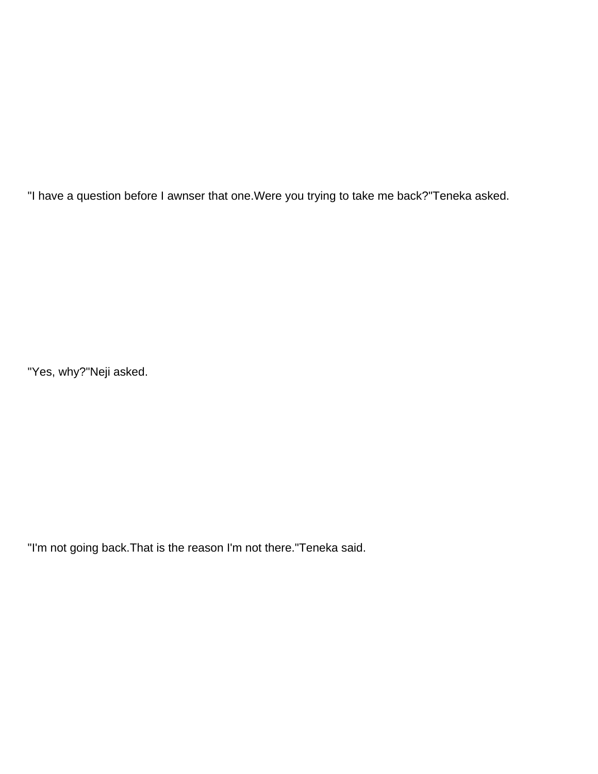"I have a question before I awnser that one.Were you trying to take me back?"Teneka asked.

"Yes, why?"Neji asked.

"I'm not going back.That is the reason I'm not there."Teneka said.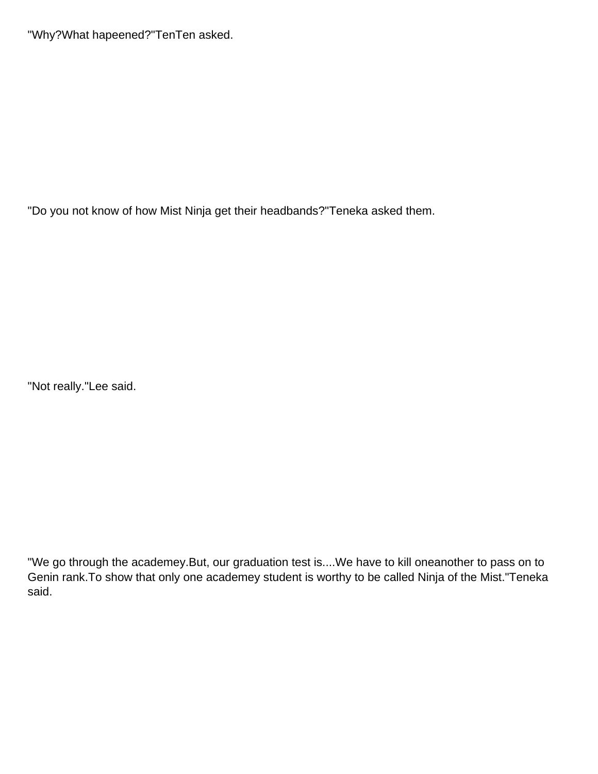"Why?What hapeened?"TenTen asked.

"Do you not know of how Mist Ninja get their headbands?"Teneka asked them.

"Not really."Lee said.

"We go through the academey.But, our graduation test is....We have to kill oneanother to pass on to Genin rank.To show that only one academey student is worthy to be called Ninja of the Mist."Teneka said.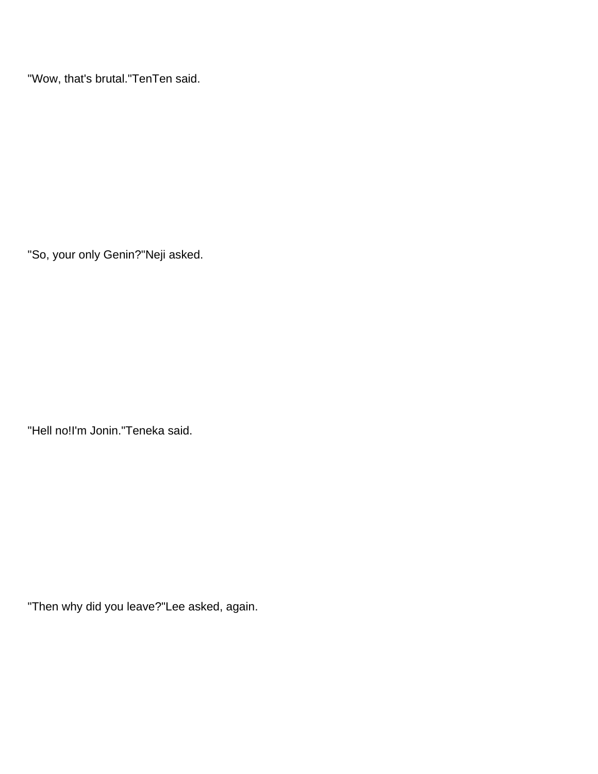"Wow, that's brutal."TenTen said.

"So, your only Genin?"Neji asked.

"Hell no!I'm Jonin."Teneka said.

"Then why did you leave?"Lee asked, again.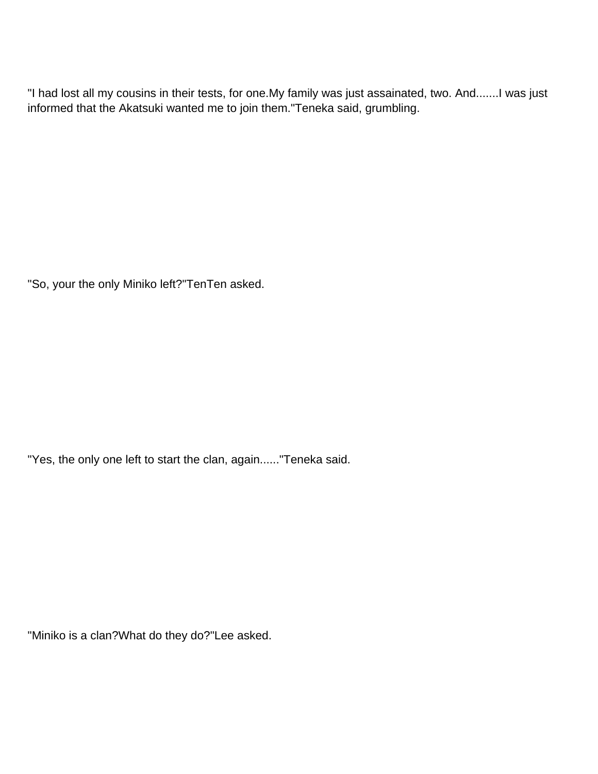"I had lost all my cousins in their tests, for one.My family was just assainated, two. And.......I was just informed that the Akatsuki wanted me to join them."Teneka said, grumbling.

"So, your the only Miniko left?"TenTen asked.

"Yes, the only one left to start the clan, again......"Teneka said.

"Miniko is a clan?What do they do?"Lee asked.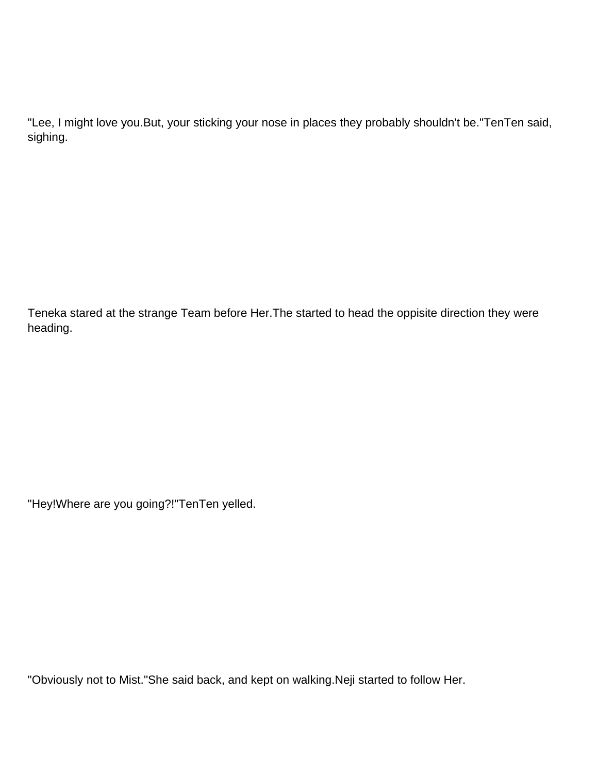"Lee, I might love you.But, your sticking your nose in places they probably shouldn't be."TenTen said, sighing.

Teneka stared at the strange Team before Her.The started to head the oppisite direction they were heading.

"Hey!Where are you going?!"TenTen yelled.

"Obviously not to Mist."She said back, and kept on walking.Neji started to follow Her.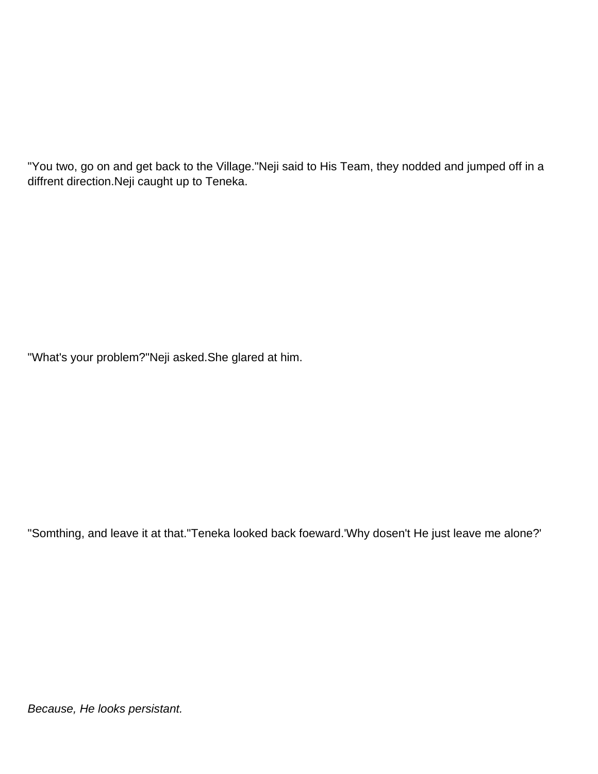"You two, go on and get back to the Village."Neji said to His Team, they nodded and jumped off in a diffrent direction.Neji caught up to Teneka.

"What's your problem?"Neji asked.She glared at him.

"Somthing, and leave it at that."Teneka looked back foeward.'Why dosen't He just leave me alone?'

Because, He looks persistant.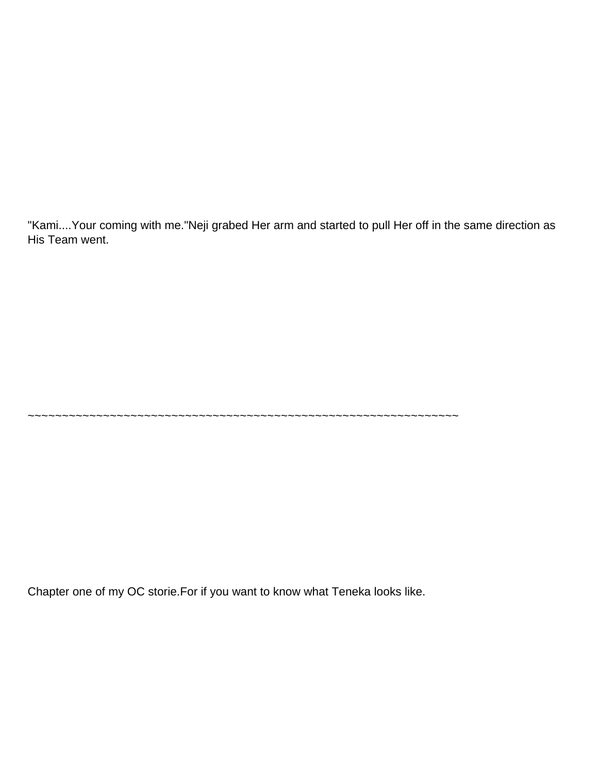"Kami....Your coming with me."Neji grabed Her arm and started to pull Her off in the same direction as His Team went.

~~~~~~~~~~~~~~~~~~~~~~~~~~~~~~~~~~~~~~~~~~~~~~~~~~~~~~~~~~~~~~~

Chapter one of my OC storie.For if you want to know what Teneka looks like.